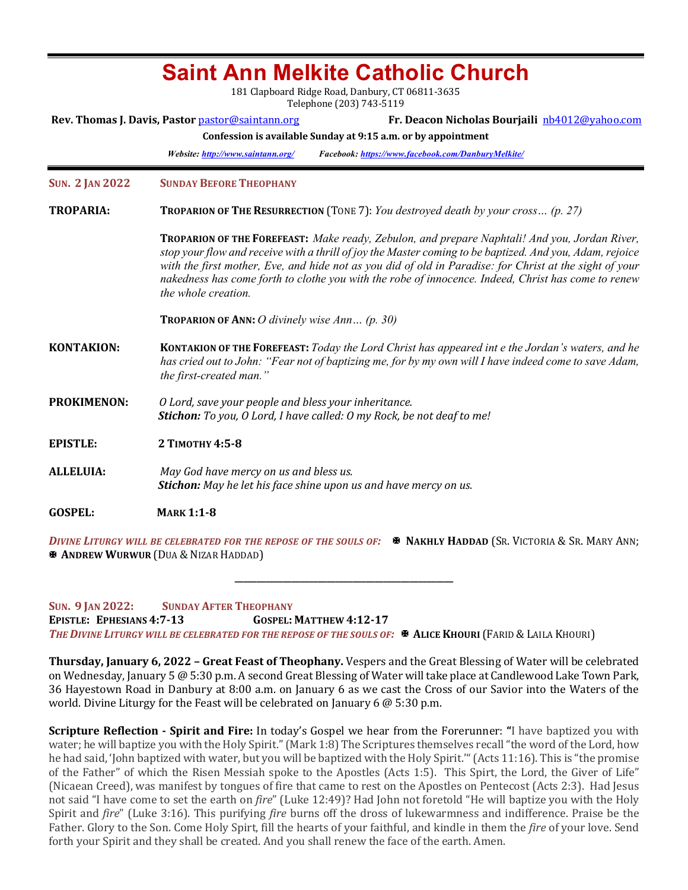| <b>Saint Ann Melkite Catholic Church</b><br>181 Clapboard Ridge Road, Danbury, CT 06811-3635                   |                                                                                                                                                                                                                                                                                                                                                                                                                                                           |  |  |  |  |
|----------------------------------------------------------------------------------------------------------------|-----------------------------------------------------------------------------------------------------------------------------------------------------------------------------------------------------------------------------------------------------------------------------------------------------------------------------------------------------------------------------------------------------------------------------------------------------------|--|--|--|--|
|                                                                                                                | Telephone (203) 743-5119<br>Fr. Deacon Nicholas Bourjaili nb4012@yahoo.com<br>Rev. Thomas J. Davis, Pastor pastor@saintann.org<br>Confession is available Sunday at 9:15 a.m. or by appointment<br>Facebook: https://www.facebook.com/DanburyMelkite/<br>Website: http://www.saintann.org/                                                                                                                                                                |  |  |  |  |
| <b>SUN. 2 JAN 2022</b>                                                                                         | <b>SUNDAY BEFORE THEOPHANY</b>                                                                                                                                                                                                                                                                                                                                                                                                                            |  |  |  |  |
| <b>TROPARIA:</b><br><b>TROPARION OF THE RESURRECTION</b> (TONE 7): You destroyed death by your cross $(p. 27)$ |                                                                                                                                                                                                                                                                                                                                                                                                                                                           |  |  |  |  |
|                                                                                                                | <b>TROPARION OF THE FOREFEAST:</b> Make ready, Zebulon, and prepare Naphtali! And you, Jordan River,<br>stop your flow and receive with a thrill of joy the Master coming to be baptized. And you, Adam, rejoice<br>with the first mother, Eve, and hide not as you did of old in Paradise: for Christ at the sight of your<br>nakedness has come forth to clothe you with the robe of innocence. Indeed, Christ has come to renew<br>the whole creation. |  |  |  |  |
|                                                                                                                | <b>TROPARION OF ANN:</b> O divinely wise Ann $(p. 30)$                                                                                                                                                                                                                                                                                                                                                                                                    |  |  |  |  |
| <b>KONTAKION:</b>                                                                                              | KONTAKION OF THE FOREFEAST: Today the Lord Christ has appeared int e the Jordan's waters, and he<br>has cried out to John: "Fear not of baptizing me, for by my own will I have indeed come to save Adam,<br>the first-created man."                                                                                                                                                                                                                      |  |  |  |  |
| <b>PROKIMENON:</b>                                                                                             | O Lord, save your people and bless your inheritance.<br>Stichon: To you, O Lord, I have called: O my Rock, be not deaf to me!                                                                                                                                                                                                                                                                                                                             |  |  |  |  |
| <b>EPISTLE:</b>                                                                                                | 2 ТІМОТНУ 4:5-8                                                                                                                                                                                                                                                                                                                                                                                                                                           |  |  |  |  |
| <b>ALLELUIA:</b>                                                                                               | May God have mercy on us and bless us.<br><b>Stichon:</b> May he let his face shine upon us and have mercy on us.                                                                                                                                                                                                                                                                                                                                         |  |  |  |  |
| <b>GOSPEL:</b>                                                                                                 | <b>MARK 1:1-8</b>                                                                                                                                                                                                                                                                                                                                                                                                                                         |  |  |  |  |

*DIVINE LITURGY WILL BE CELEBRATED FOR THE REPOSE OF THE SOULS OF:*  $\bullet$  **NAKHLY HADDAD** (SR. VICTORIA & SR. MARY ANN; *X* ANDREW WURWUR (DUA & NIZAR HADDAD)

**\_\_\_\_\_\_\_\_\_\_\_\_\_\_\_\_\_\_\_\_\_\_\_\_\_\_\_\_\_\_\_\_\_\_\_\_\_\_\_\_\_\_\_\_\_\_\_\_\_\_**

**SUN. 9 JAN 2022: SUNDAY AFTER THEOPHANY EPISTLE: EPHESIANS 4:7-13 GOSPEL: MATTHEW 4:12-17** THE DIVINE LITURGY WILL BE CELEBRATED FOR THE REPOSE OF THE SOULS OF: **<b>X** ALICE KHOURI (FARID & LAILA KHOURI)

**Thursday, January 6, 2022 - Great Feast of Theophany.** Vespers and the Great Blessing of Water will be celebrated on Wednesday, January 5 @ 5:30 p.m. A second Great Blessing of Water will take place at Candlewood Lake Town Park, 36 Hayestown Road in Danbury at 8:00 a.m. on January 6 as we cast the Cross of our Savior into the Waters of the world. Divine Liturgy for the Feast will be celebrated on January 6  $\omega$  5:30 p.m.

**Scripture Reflection - Spirit and Fire:** In today's Gospel we hear from the Forerunner: "I have baptized you with water; he will baptize you with the Holy Spirit." (Mark 1:8) The Scriptures themselves recall "the word of the Lord, how he had said, 'John baptized with water, but you will be baptized with the Holy Spirit.'" (Acts 11:16). This is "the promise of the Father" of which the Risen Messiah spoke to the Apostles (Acts 1:5). This Spirt, the Lord, the Giver of Life" (Nicaean Creed), was manifest by tongues of fire that came to rest on the Apostles on Pentecost (Acts 2:3). Had Jesus not said "I have come to set the earth on *fire*" (Luke 12:49)? Had John not foretold "He will baptize you with the Holy Spirit and *fire*" (Luke 3:16). This purifying *fire* burns off the dross of lukewarmness and indifference. Praise be the Father. Glory to the Son. Come Holy Spirt, fill the hearts of your faithful, and kindle in them the *fire* of your love. Send forth your Spirit and they shall be created. And you shall renew the face of the earth. Amen.